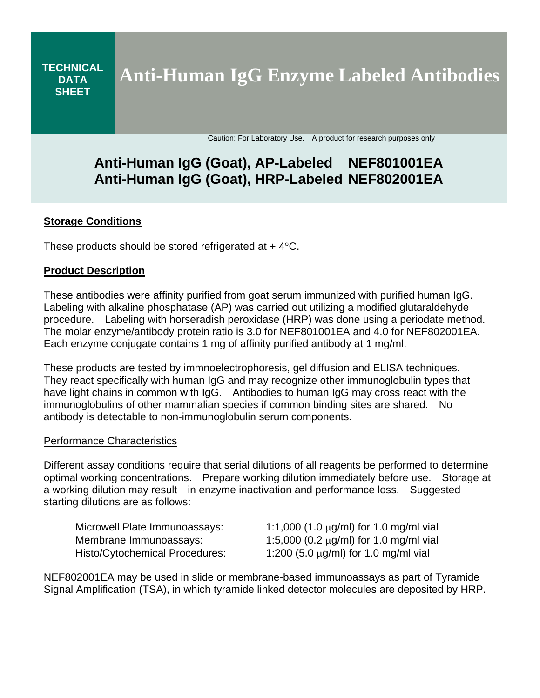**TECHNICAL DATA SHEET Anti-Human IgG Enzyme Labeled Antibodies**

Caution: For Laboratory Use. A product for research purposes only

# **Anti-Human IgG (Goat), AP-Labeled NEF801001EA Anti-Human IgG (Goat), HRP-Labeled NEF802001EA**

## **Storage Conditions**

These products should be stored refrigerated at  $+4$  °C.

### **Product Description**

These antibodies were affinity purified from goat serum immunized with purified human IgG. Labeling with alkaline phosphatase (AP) was carried out utilizing a modified glutaraldehyde procedure. Labeling with horseradish peroxidase (HRP) was done using a periodate method. The molar enzyme/antibody protein ratio is 3.0 for NEF801001EA and 4.0 for NEF802001EA. Each enzyme conjugate contains 1 mg of affinity purified antibody at 1 mg/ml.

These products are tested by immnoelectrophoresis, gel diffusion and ELISA techniques. They react specifically with human IgG and may recognize other immunoglobulin types that have light chains in common with IgG. Antibodies to human IgG may cross react with the immunoglobulins of other mammalian species if common binding sites are shared. No antibody is detectable to non-immunoglobulin serum components.

#### Performance Characteristics

Different assay conditions require that serial dilutions of all reagents be performed to determine optimal working concentrations. Prepare working dilution immediately before use. Storage at a working dilution may result in enzyme inactivation and performance loss. Suggested starting dilutions are as follows:

| Microwell Plate Immunoassays:         | 1:1,000 (1.0 $\mu$ g/ml) for 1.0 mg/ml vial |
|---------------------------------------|---------------------------------------------|
| Membrane Immunoassays:                | 1:5,000 (0.2 $\mu$ g/ml) for 1.0 mg/ml vial |
| <b>Histo/Cytochemical Procedures:</b> | 1:200 (5.0 $\mu$ g/ml) for 1.0 mg/ml vial   |

NEF802001EA may be used in slide or membrane-based immunoassays as part of Tyramide Signal Amplification (TSA), in which tyramide linked detector molecules are deposited by HRP.